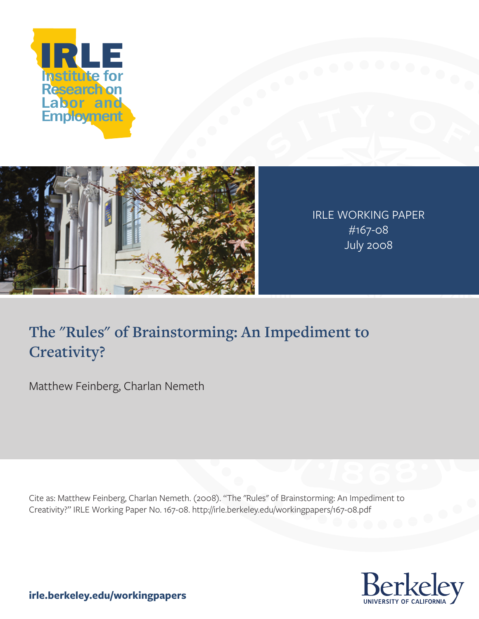



IRLE WORKING PAPER #167-08 July 2008

# **The "Rules" of Brainstorming: An Impediment to Creativity?**

Matthew Feinberg, Charlan Nemeth

Cite as: Matthew Feinberg, Charlan Nemeth. (2008). "The "Rules" of Brainstorming: An Impediment to<br>Creativity?" IRLE Working Paper No. 167-08. http://irle.berkeley.edu/workingpapers/167-08.pdf Creativity?" IRLE Working Paper No. 167-08. http://irle.berkeley.edu/workingpapers/167-08.pdf



**irle.berkeley.edu/workingpapers**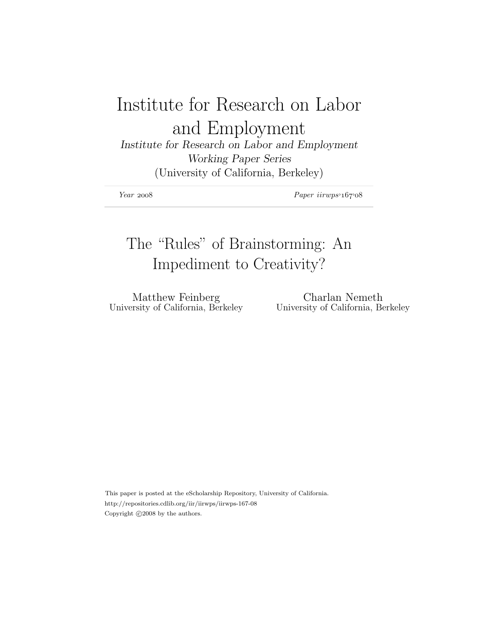# Institute for Research on Labor and Employment

Institute for Research on Labor and Employment Working Paper Series (University of California, Berkeley)

Year 2008 Paper iirwps<sup>-</sup>167<sup>-08</sup>

# The "Rules" of Brainstorming: An Impediment to Creativity?

University of California, Berkeley

Matthew Feinberg<br>
Figure 1. Expanding Charlan Nemeth<br>
University of California, Berkeley<br>
University of California, Berkeley

This paper is posted at the eScholarship Repository, University of California. http://repositories.cdlib.org/iir/iirwps/iirwps-167-08 Copyright  $\odot$ 2008 by the authors.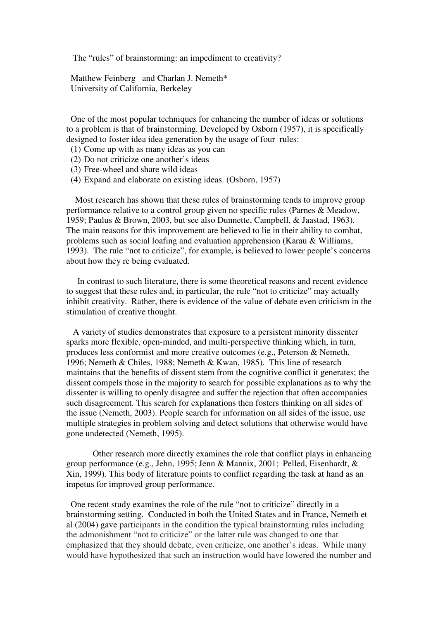The "rules" of brainstorming: an impediment to creativity?

Matthew Feinberg and Charlan J. Nemeth\* University of California, Berkeley

One of the most popular techniques for enhancing the number of ideas or solutions to a problem is that of brainstorming. Developed by Osborn (1957), it is specifically designed to foster idea idea generation by the usage of four rules:

- (1) Come up with as many ideas as you can
- (2) Do not criticize one another's ideas
- (3) Free-wheel and share wild ideas
- (4) Expand and elaborate on existing ideas. (Osborn, 1957)

Most research has shown that these rules of brainstorming tends to improve group performance relative to a control group given no specific rules (Parnes & Meadow, 1959; Paulus & Brown, 2003, but see also Dunnette, Campbell, & Jaastad, 1963). The main reasons for this improvement are believed to lie in their ability to combat, problems such as social loafing and evaluation apprehension (Karau & Williams, 1993). The rule "not to criticize", for example, is believed to lower people's concerns about how they re being evaluated.

 In contrast to such literature, there is some theoretical reasons and recent evidence to suggest that these rules and, in particular, the rule "not to criticize" may actually inhibit creativity. Rather, there is evidence of the value of debate even criticism in the stimulation of creative thought.

 A variety of studies demonstrates that exposure to a persistent minority dissenter sparks more flexible, open-minded, and multi-perspective thinking which, in turn, produces less conformist and more creative outcomes (e.g., Peterson & Nemeth, 1996; Nemeth & Chiles, 1988; Nemeth & Kwan, 1985). This line of research maintains that the benefits of dissent stem from the cognitive conflict it generates; the dissent compels those in the majority to search for possible explanations as to why the dissenter is willing to openly disagree and suffer the rejection that often accompanies such disagreement. This search for explanations then fosters thinking on all sides of the issue (Nemeth, 2003). People search for information on all sides of the issue, use multiple strategies in problem solving and detect solutions that otherwise would have gone undetected (Nemeth, 1995).

 Other research more directly examines the role that conflict plays in enhancing group performance (e.g., Jehn, 1995; Jenn & Mannix, 2001; Pelled, Eisenhardt, & Xin, 1999). This body of literature points to conflict regarding the task at hand as an impetus for improved group performance.

One recent study examines the role of the rule "not to criticize" directly in a brainstorming setting. Conducted in both the United States and in France, Nemeth et al (2004) gave participants in the condition the typical brainstorming rules including the admonishment "not to criticize" or the latter rule was changed to one that emphasized that they should debate, even criticize, one another's ideas. While many would have hypothesized that such an instruction would have lowered the number and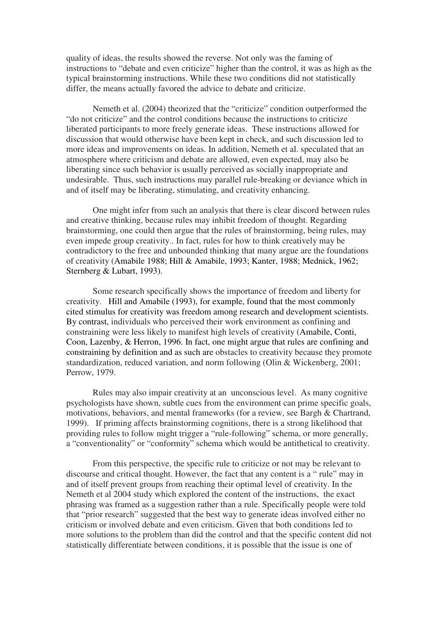quality of ideas, the results showed the reverse. Not only was the faming of instructions to "debate and even criticize" higher than the control, it was as high as the typical brainstorming instructions. While these two conditions did not statistically differ, the means actually favored the advice to debate and criticize.

Nemeth et al. (2004) theorized that the "criticize" condition outperformed the "do not criticize" and the control conditions because the instructions to criticize liberated participants to more freely generate ideas. These instructions allowed for discussion that would otherwise have been kept in check, and such discussion led to more ideas and improvements on ideas. In addition, Nemeth et al. speculated that an atmosphere where criticism and debate are allowed, even expected, may also be liberating since such behavior is usually perceived as socially inappropriate and undesirable. Thus, such instructions may parallel rule-breaking or deviance which in and of itself may be liberating, stimulating, and creativity enhancing.

 One might infer from such an analysis that there is clear discord between rules and creative thinking, because rules may inhibit freedom of thought. Regarding brainstorming, one could then argue that the rules of brainstorming, being rules, may even impede group creativity.. In fact, rules for how to think creatively may be contradictory to the free and unbounded thinking that many argue are the foundations of creativity (Amabile 1988; Hill & Amabile, 1993; Kanter, 1988; Mednick, 1962; Sternberg & Lubart, 1993).

Some research specifically shows the importance of freedom and liberty for creativity. Hill and Amabile (1993), for example, found that the most commonly cited stimulus for creativity was freedom among research and development scientists. By contrast, individuals who perceived their work environment as confining and constraining were less likely to manifest high levels of creativity (Amabile, Conti, Coon, Lazenby, & Herron, 1996. In fact, one might argue that rules are confining and constraining by definition and as such are obstacles to creativity because they promote standardization, reduced variation, and norm following (Olin & Wickenberg, 2001; Perrow, 1979.

Rules may also impair creativity at an unconscious level. As many cognitive psychologists have shown, subtle cues from the environment can prime specific goals, motivations, behaviors, and mental frameworks (for a review, see Bargh & Chartrand, 1999). If priming affects brainstorming cognitions, there is a strong likelihood that providing rules to follow might trigger a "rule-following" schema, or more generally, a "conventionality" or "conformity" schema which would be antithetical to creativity.

From this perspective, the specific rule to criticize or not may be relevant to discourse and critical thought. However, the fact that any content is a " rule" may in and of itself prevent groups from reaching their optimal level of creativity. In the Nemeth et al 2004 study which explored the content of the instructions, the exact phrasing was framed as a suggestion rather than a rule. Specifically people were told that "prior research" suggested that the best way to generate ideas involved either no criticism or involved debate and even criticism. Given that both conditions led to more solutions to the problem than did the control and that the specific content did not statistically differentiate between conditions, it is possible that the issue is one of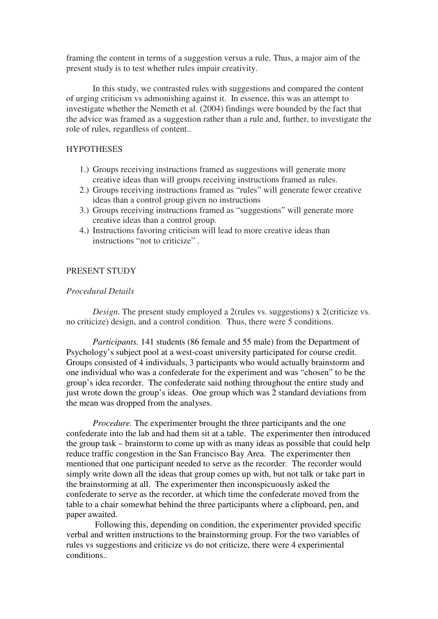framing the content in terms of a suggestion versus a rule. Thus, a major aim of the present study is to test whether rules impair creativity.

In this study, we contrasted rules with suggestions and compared the content of urging criticism vs admonishing against it. In essence, this was an attempt to investigate whether the Nemeth et al. (2004) findings were bounded by the fact that the advice was framed as a suggestion rather than a rule and, further, to investigate the role of rules, regardless of content..

# **HYPOTHESES**

- 1.) Groups receiving instructions framed as suggestions will generate more creative ideas than will groups receiving instructions framed as rules.
- 2.) Groups receiving instructions framed as "rules" will generate fewer creative ideas than a control group given no instructions
- 3.) Groups receiving instructions framed as "suggestions" will generate more creative ideas than a control group.
- 4.) Instructions favoring criticism will lead to more creative ideas than instructions "not to criticize" .

# PRESENT STUDY

## *Procedural Details*

*Design*. The present study employed a 2(rules vs. suggestions) x 2(criticize vs. no criticize) design, and a control condition. Thus, there were 5 conditions.

*Participants.* 141 students (86 female and 55 male) from the Department of Psychology's subject pool at a west-coast university participated for course credit. Groups consisted of 4 individuals, 3 participants who would actually brainstorm and one individual who was a confederate for the experiment and was "chosen" to be the group's idea recorder. The confederate said nothing throughout the entire study and just wrote down the group's ideas. One group which was 2 standard deviations from the mean was dropped from the analyses.

*Procedure.* The experimenter brought the three participants and the one confederate into the lab and had them sit at a table. The experimenter then introduced the group task – brainstorm to come up with as many ideas as possible that could help reduce traffic congestion in the San Francisco Bay Area. The experimenter then mentioned that one participant needed to serve as the recorder. The recorder would simply write down all the ideas that group comes up with, but not talk or take part in the brainstorming at all. The experimenter then inconspicuously asked the confederate to serve as the recorder, at which time the confederate moved from the table to a chair somewhat behind the three participants where a clipboard, pen, and paper awaited.

 Following this, depending on condition, the experimenter provided specific verbal and written instructions to the brainstorming group. For the two variables of rules vs suggestions and criticize vs do not criticize, there were 4 experimental conditions..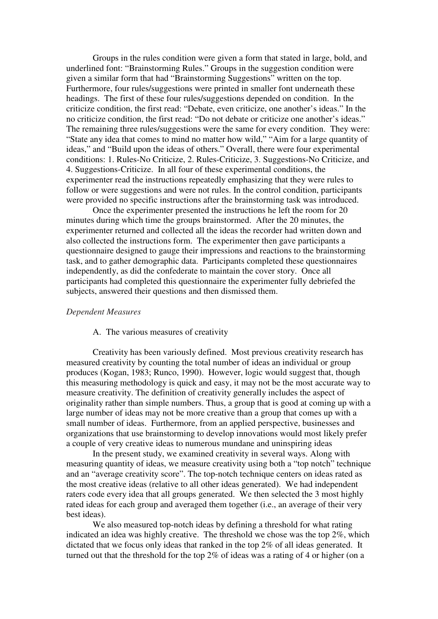Groups in the rules condition were given a form that stated in large, bold, and underlined font: "Brainstorming Rules." Groups in the suggestion condition were given a similar form that had "Brainstorming Suggestions" written on the top. Furthermore, four rules/suggestions were printed in smaller font underneath these headings. The first of these four rules/suggestions depended on condition. In the criticize condition, the first read: "Debate, even criticize, one another's ideas." In the no criticize condition, the first read: "Do not debate or criticize one another's ideas." The remaining three rules/suggestions were the same for every condition. They were: "State any idea that comes to mind no matter how wild," "Aim for a large quantity of ideas," and "Build upon the ideas of others." Overall, there were four experimental conditions: 1. Rules-No Criticize, 2. Rules-Criticize, 3. Suggestions-No Criticize, and 4. Suggestions-Criticize. In all four of these experimental conditions, the experimenter read the instructions repeatedly emphasizing that they were rules to follow or were suggestions and were not rules. In the control condition, participants were provided no specific instructions after the brainstorming task was introduced.

Once the experimenter presented the instructions he left the room for 20 minutes during which time the groups brainstormed. After the 20 minutes, the experimenter returned and collected all the ideas the recorder had written down and also collected the instructions form. The experimenter then gave participants a questionnaire designed to gauge their impressions and reactions to the brainstorming task, and to gather demographic data. Participants completed these questionnaires independently, as did the confederate to maintain the cover story. Once all participants had completed this questionnaire the experimenter fully debriefed the subjects, answered their questions and then dismissed them.

### *Dependent Measures*

#### A. The various measures of creativity

Creativity has been variously defined. Most previous creativity research has measured creativity by counting the total number of ideas an individual or group produces (Kogan, 1983; Runco, 1990). However, logic would suggest that, though this measuring methodology is quick and easy, it may not be the most accurate way to measure creativity. The definition of creativity generally includes the aspect of originality rather than simple numbers. Thus, a group that is good at coming up with a large number of ideas may not be more creative than a group that comes up with a small number of ideas. Furthermore, from an applied perspective, businesses and organizations that use brainstorming to develop innovations would most likely prefer a couple of very creative ideas to numerous mundane and uninspiring ideas

In the present study, we examined creativity in several ways. Along with measuring quantity of ideas, we measure creativity using both a "top notch" technique and an "average creativity score". The top-notch technique centers on ideas rated as the most creative ideas (relative to all other ideas generated). We had independent raters code every idea that all groups generated. We then selected the 3 most highly rated ideas for each group and averaged them together (i.e., an average of their very best ideas).

We also measured top-notch ideas by defining a threshold for what rating indicated an idea was highly creative. The threshold we chose was the top 2%, which dictated that we focus only ideas that ranked in the top 2% of all ideas generated. It turned out that the threshold for the top 2% of ideas was a rating of 4 or higher (on a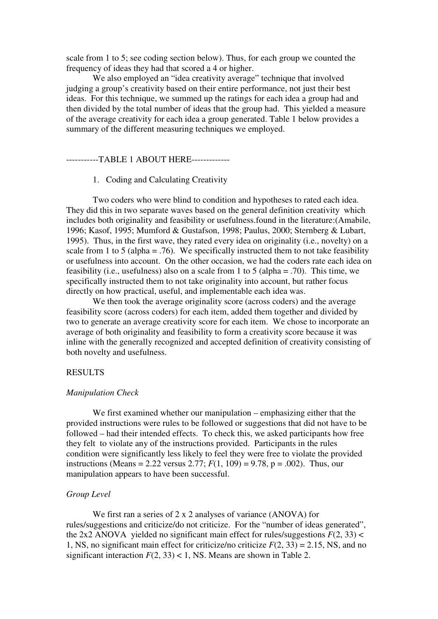scale from 1 to 5; see coding section below). Thus, for each group we counted the frequency of ideas they had that scored a 4 or higher.

We also employed an "idea creativity average" technique that involved judging a group's creativity based on their entire performance, not just their best ideas. For this technique, we summed up the ratings for each idea a group had and then divided by the total number of ideas that the group had. This yielded a measure of the average creativity for each idea a group generated. Table 1 below provides a summary of the different measuring techniques we employed.

# -----------TABLE 1 ABOUT HERE-------------

#### 1. Coding and Calculating Creativity

Two coders who were blind to condition and hypotheses to rated each idea. They did this in two separate waves based on the general definition creativity which includes both originality and feasibility or usefulness.found in the literature:(Amabile, 1996; Kasof, 1995; Mumford & Gustafson, 1998; Paulus, 2000; Sternberg & Lubart, 1995). Thus, in the first wave, they rated every idea on originality (i.e., novelty) on a scale from 1 to 5 (alpha = .76). We specifically instructed them to not take feasibility or usefulness into account. On the other occasion, we had the coders rate each idea on feasibility (i.e., usefulness) also on a scale from 1 to 5 (alpha = .70). This time, we specifically instructed them to not take originality into account, but rather focus directly on how practical, useful, and implementable each idea was.

We then took the average originality score (across coders) and the average feasibility score (across coders) for each item, added them together and divided by two to generate an average creativity score for each item. We chose to incorporate an average of both originality and feasibility to form a creativity score because it was inline with the generally recognized and accepted definition of creativity consisting of both novelty and usefulness.

## RESULTS

#### *Manipulation Check*

 We first examined whether our manipulation – emphasizing either that the provided instructions were rules to be followed or suggestions that did not have to be followed – had their intended effects. To check this, we asked participants how free they felt to violate any of the instructions provided. Participants in the rules condition were significantly less likely to feel they were free to violate the provided instructions (Means = 2.22 versus 2.77;  $F(1, 109) = 9.78$ ,  $p = .002$ ). Thus, our manipulation appears to have been successful.

#### *Group Level*

We first ran a series of 2 x 2 analyses of variance (ANOVA) for rules/suggestions and criticize/do not criticize. For the "number of ideas generated", the 2x2 ANOVA yielded no significant main effect for rules/suggestions  $F(2, 33)$  < 1, NS, no significant main effect for criticize/no criticize *F*(2, 33) = 2.15, NS, and no significant interaction  $F(2, 33) < 1$ , NS. Means are shown in Table 2.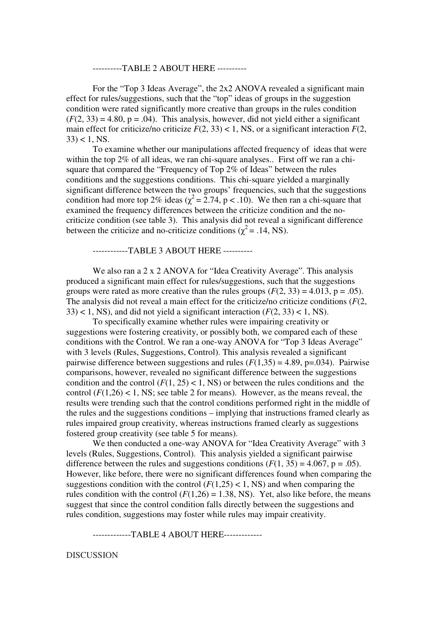----------TABLE 2 ABOUT HERE ----------

For the "Top 3 Ideas Average", the 2x2 ANOVA revealed a significant main effect for rules/suggestions, such that the "top" ideas of groups in the suggestion condition were rated significantly more creative than groups in the rules condition  $(F(2, 33) = 4.80, p = .04)$ . This analysis, however, did not yield either a significant main effect for criticize/no criticize  $F(2, 33) < 1$ , NS, or a significant interaction  $F(2, 13)$  $33$ ) < 1, NS.

To examine whether our manipulations affected frequency of ideas that were within the top 2% of all ideas, we ran chi-square analyses.. First off we ran a chisquare that compared the "Frequency of Top 2% of Ideas" between the rules conditions and the suggestions conditions. This chi-square yielded a marginally significant difference between the two groups' frequencies, such that the suggestions condition had more top 2% ideas ( $\chi^2$  = 2.74, p < .10). We then ran a chi-square that examined the frequency differences between the criticize condition and the nocriticize condition (see table 3). This analysis did not reveal a significant difference between the criticize and no-criticize conditions ( $\chi^2$  = .14, NS).

------------TABLE 3 ABOUT HERE ----------

We also ran a 2 x 2 ANOVA for "Idea Creativity Average". This analysis produced a significant main effect for rules/suggestions, such that the suggestions groups were rated as more creative than the rules groups  $(F(2, 33) = 4.013, p = .05)$ . The analysis did not reveal a main effect for the criticize/no criticize conditions (*F*(2,  $33$  < 1, NS), and did not yield a significant interaction  $(F(2, 33) < 1, NS)$ .

To specifically examine whether rules were impairing creativity or suggestions were fostering creativity, or possibly both, we compared each of these conditions with the Control. We ran a one-way ANOVA for "Top 3 Ideas Average" with 3 levels (Rules, Suggestions, Control). This analysis revealed a significant pairwise difference between suggestions and rules  $(F(1,35) = 4.89, p=.034)$ . Pairwise comparisons, however, revealed no significant difference between the suggestions condition and the control  $(F(1, 25) < 1, NS)$  or between the rules conditions and the control  $(F(1,26) < 1, NS$ ; see table 2 for means). However, as the means reveal, the results were trending such that the control conditions performed right in the middle of the rules and the suggestions conditions – implying that instructions framed clearly as rules impaired group creativity, whereas instructions framed clearly as suggestions fostered group creativity (see table 5 for means).

We then conducted a one-way ANOVA for "Idea Creativity Average" with 3 levels (Rules, Suggestions, Control). This analysis yielded a significant pairwise difference between the rules and suggestions conditions  $(F(1, 35) = 4.067, p = .05)$ . However, like before, there were no significant differences found when comparing the suggestions condition with the control  $(F(1,25) < 1,$  NS) and when comparing the rules condition with the control  $(F(1,26) = 1.38, NS)$ . Yet, also like before, the means suggest that since the control condition falls directly between the suggestions and rules condition, suggestions may foster while rules may impair creativity.

-------------TABLE 4 ABOUT HERE-------------

**DISCUSSION**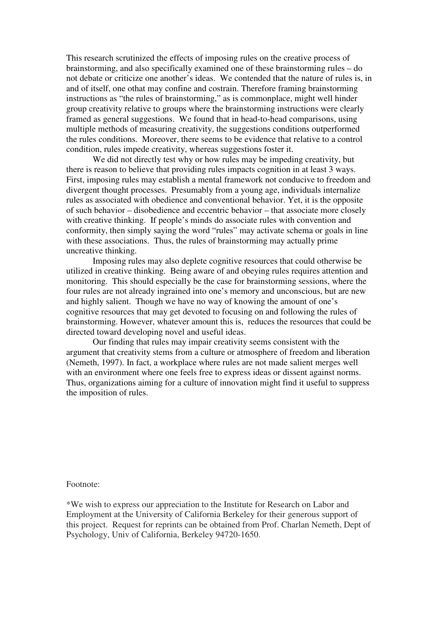This research scrutinized the effects of imposing rules on the creative process of brainstorming, and also specifically examined one of these brainstorming rules – do not debate or criticize one another's ideas. We contended that the nature of rules is, in and of itself, one othat may confine and costrain. Therefore framing brainstorming instructions as "the rules of brainstorming," as is commonplace, might well hinder group creativity relative to groups where the brainstorming instructions were clearly framed as general suggestions. We found that in head-to-head comparisons, using multiple methods of measuring creativity, the suggestions conditions outperformed the rules conditions. Moreover, there seems to be evidence that relative to a control condition, rules impede creativity, whereas suggestions foster it.

We did not directly test why or how rules may be impeding creativity, but there is reason to believe that providing rules impacts cognition in at least 3 ways. First, imposing rules may establish a mental framework not conducive to freedom and divergent thought processes. Presumably from a young age, individuals internalize rules as associated with obedience and conventional behavior. Yet, it is the opposite of such behavior – disobedience and eccentric behavior – that associate more closely with creative thinking. If people's minds do associate rules with convention and conformity, then simply saying the word "rules" may activate schema or goals in line with these associations. Thus, the rules of brainstorming may actually prime uncreative thinking.

Imposing rules may also deplete cognitive resources that could otherwise be utilized in creative thinking. Being aware of and obeying rules requires attention and monitoring. This should especially be the case for brainstorming sessions, where the four rules are not already ingrained into one's memory and unconscious, but are new and highly salient. Though we have no way of knowing the amount of one's cognitive resources that may get devoted to focusing on and following the rules of brainstorming. However, whatever amount this is, reduces the resources that could be directed toward developing novel and useful ideas.

 Our finding that rules may impair creativity seems consistent with the argument that creativity stems from a culture or atmosphere of freedom and liberation (Nemeth, 1997). In fact, a workplace where rules are not made salient merges well with an environment where one feels free to express ideas or dissent against norms. Thus, organizations aiming for a culture of innovation might find it useful to suppress the imposition of rules.

#### Footnote:

\*We wish to express our appreciation to the Institute for Research on Labor and Employment at the University of California Berkeley for their generous support of this project. Request for reprints can be obtained from Prof. Charlan Nemeth, Dept of Psychology, Univ of California, Berkeley 94720-1650.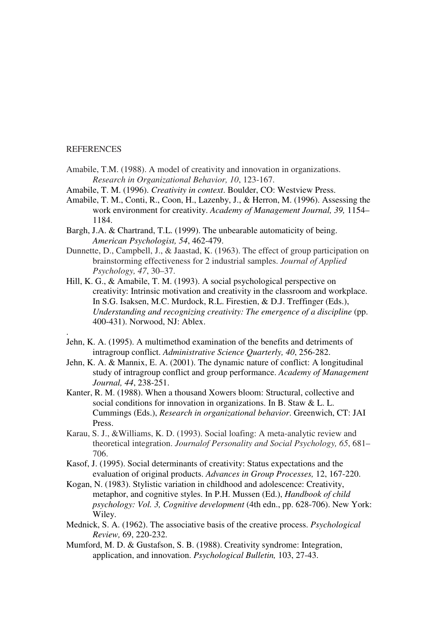### REFERENCES

.

- Amabile, T.M. (1988). A model of creativity and innovation in organizations. *Research in Organizational Behavior, 10*, 123-167.
- Amabile, T. M. (1996). *Creativity in context*. Boulder, CO: Westview Press.
- Amabile, T. M., Conti, R., Coon, H., Lazenby, J., & Herron, M. (1996). Assessing the work environment for creativity. *Academy of Management Journal, 39,* 1154– 1184.
- Bargh, J.A. & Chartrand, T.L. (1999). The unbearable automaticity of being. *American Psychologist, 54*, 462-479.
- Dunnette, D., Campbell, J., & Jaastad, K. (1963). The effect of group participation on brainstorming effectiveness for 2 industrial samples. *Journal of Applied Psychology, 47*, 30–37.
- Hill, K. G., & Amabile, T. M. (1993). A social psychological perspective on creativity: Intrinsic motivation and creativity in the classroom and workplace. In S.G. Isaksen, M.C. Murdock, R.L. Firestien, & D.J. Treffinger (Eds.), *Understanding and recognizing creativity: The emergence of a discipline* (pp. 400-431). Norwood, NJ: Ablex.
- Jehn, K. A. (1995). A multimethod examination of the benefits and detriments of intragroup conflict. *Administrative Science Quarterly, 40*, 256-282.
- Jehn, K. A. & Mannix, E. A. (2001). The dynamic nature of conflict: A longitudinal study of intragroup conflict and group performance. *Academy of Management Journal, 44*, 238-251.
- Kanter, R. M. (1988). When a thousand Xowers bloom: Structural, collective and social conditions for innovation in organizations. In B. Staw & L. L. Cummings (Eds.), *Research in organizational behavior*. Greenwich, CT: JAI Press.
- Karau, S. J., &Williams, K. D. (1993). Social loafing: A meta-analytic review and theoretical integration. *Journalof Personality and Social Psychology, 65*, 681– 706.
- Kasof, J. (1995). Social determinants of creativity: Status expectations and the evaluation of original products. *Advances in Group Processes,* 12, 167-220.
- Kogan, N. (1983). Stylistic variation in childhood and adolescence: Creativity, metaphor, and cognitive styles. In P.H. Mussen (Ed.), *Handbook of child psychology: Vol. 3, Cognitive development* (4th edn., pp. 628-706). New York: Wiley.
- Mednick, S. A. (1962). The associative basis of the creative process. *Psychological Review,* 69, 220-232.
- Mumford, M. D. & Gustafson, S. B. (1988). Creativity syndrome: Integration, application, and innovation. *Psychological Bulletin,* 103, 27-43.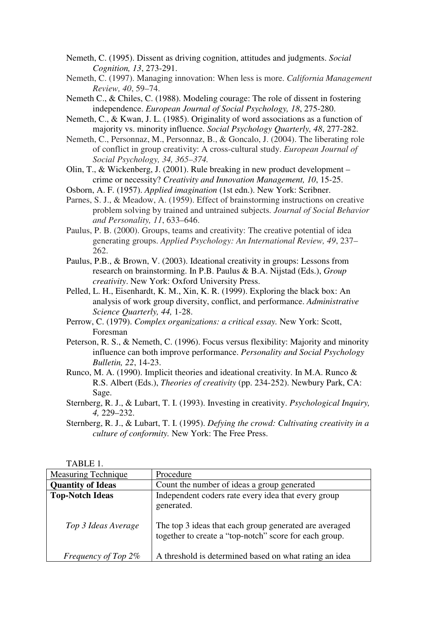- Nemeth, C. (1995). Dissent as driving cognition, attitudes and judgments. *Social Cognition, 13*, 273-291.
- Nemeth, C. (1997). Managing innovation: When less is more. *California Management Review, 40*, 59–74.
- Nemeth C., & Chiles, C. (1988). Modeling courage: The role of dissent in fostering independence. *European Journal of Social Psychology, 18*, 275-280.
- Nemeth, C., & Kwan, J. L. (1985). Originality of word associations as a function of majority vs. minority influence. *Social Psychology Quarterly, 48*, 277-282.
- Nemeth, C., Personnaz, M., Personnaz, B., & Goncalo, J. (2004). The liberating role of conflict in group creativity: A cross-cultural study. *European Journal of Social Psychology, 34, 365–374.*
- Olin, T., & Wickenberg, J. (2001). Rule breaking in new product development crime or necessity? *Creativity and Innovation Management, 10*, 15-25.
- Osborn, A. F. (1957). *Applied imagination* (1st edn.). New York: Scribner.
- Parnes, S. J., & Meadow, A. (1959). Effect of brainstorming instructions on creative problem solving by trained and untrained subjects*. Journal of Social Behavior and Personality, 11*, 633–646.
- Paulus, P. B. (2000). Groups, teams and creativity: The creative potential of idea generating groups. *Applied Psychology: An International Review, 49*, 237– 262.
- Paulus, P.B., & Brown, V. (2003). Ideational creativity in groups: Lessons from research on brainstorming. In P.B. Paulus & B.A. Nijstad (Eds.), *Group creativity*. New York: Oxford University Press.
- Pelled, L. H., Eisenhardt, K. M., Xin, K. R. (1999). Exploring the black box: An analysis of work group diversity, conflict, and performance. *Administrative Science Quarterly, 44,* 1-28.
- Perrow, C. (1979). *Complex organizations: a critical essay.* New York: Scott, Foresman
- Peterson, R. S., & Nemeth, C. (1996). Focus versus flexibility: Majority and minority influence can both improve performance. *Personality and Social Psychology Bulletin, 22*, 14-23.
- Runco, M. A. (1990). Implicit theories and ideational creativity. In M.A. Runco & R.S. Albert (Eds.), *Theories of creativity* (pp. 234-252). Newbury Park, CA: Sage.
- Sternberg, R. J., & Lubart, T. I. (1993). Investing in creativity. *Psychological Inquiry, 4,* 229–232.
- Sternberg, R. J., & Lubart, T. I. (1995). *Defying the crowd: Cultivating creativity in a culture of conformity.* New York: The Free Press.

TABLE 1.

| <b>Measuring Technique</b> | Procedure                                                                                                        |  |  |
|----------------------------|------------------------------------------------------------------------------------------------------------------|--|--|
| <b>Quantity of Ideas</b>   | Count the number of ideas a group generated                                                                      |  |  |
| <b>Top-Notch Ideas</b>     | Independent coders rate every idea that every group<br>generated.                                                |  |  |
| Top 3 Ideas Average        | The top 3 ideas that each group generated are averaged<br>together to create a "top-notch" score for each group. |  |  |
| <i>Frequency of Top 2%</i> | A threshold is determined based on what rating an idea                                                           |  |  |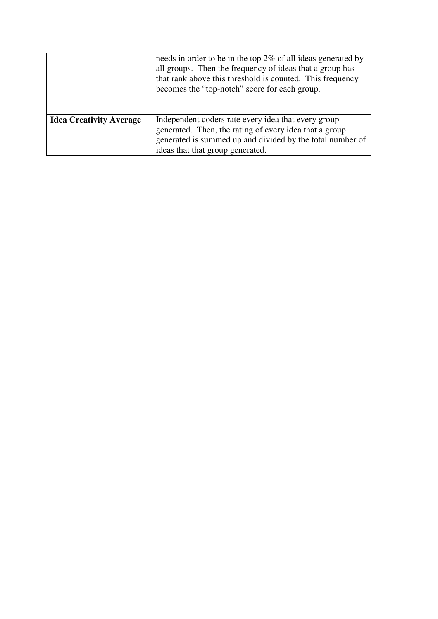|                                | needs in order to be in the top 2% of all ideas generated by<br>all groups. Then the frequency of ideas that a group has<br>that rank above this threshold is counted. This frequency<br>becomes the "top-notch" score for each group. |
|--------------------------------|----------------------------------------------------------------------------------------------------------------------------------------------------------------------------------------------------------------------------------------|
| <b>Idea Creativity Average</b> | Independent coders rate every idea that every group<br>generated. Then, the rating of every idea that a group<br>generated is summed up and divided by the total number of<br>ideas that that group generated.                         |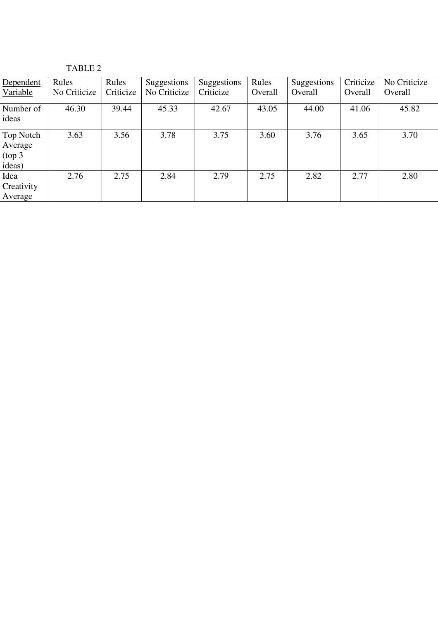TABLE 2

| Dependent                                             | Rules        | Rules     | Suggestions  | Suggestions | Rules   | Suggestions | Criticize | No Criticize |
|-------------------------------------------------------|--------------|-----------|--------------|-------------|---------|-------------|-----------|--------------|
| Variable                                              | No Criticize | Criticize | No Criticize | Criticize   | Overall | Overall     | Overall   | Overall      |
| Number of<br>ideas                                    | 46.30        | 39.44     | 45.33        | 42.67       | 43.05   | 44.00       | 41.06     | 45.82        |
| Top Notch<br>Average<br>(top <sub>3</sub> )<br>ideas) | 3.63         | 3.56      | 3.78         | 3.75        | 3.60    | 3.76        | 3.65      | 3.70         |
| Idea<br>Creativity<br>Average                         | 2.76         | 2.75      | 2.84         | 2.79        | 2.75    | 2.82        | 2.77      | 2.80         |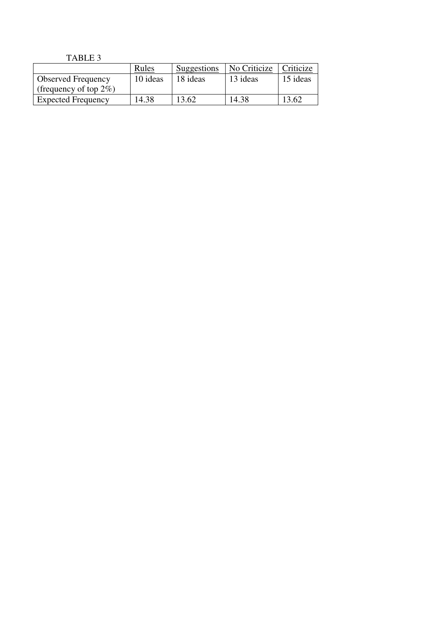TABLE 3

|                           | Rules    | Suggestions | No Criticize | Criticize |
|---------------------------|----------|-------------|--------------|-----------|
| <b>Observed Frequency</b> | 10 ideas | 18 ideas    | 13 ideas     | 15 ideas  |
| (frequency of top $2\%)$  |          |             |              |           |
| <b>Expected Frequency</b> | 14.38    | 13.62       | 14.38        | 13.62     |